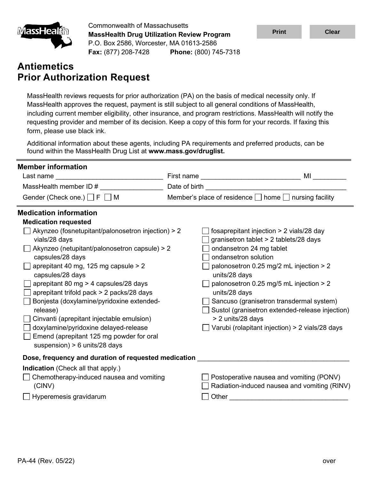

Commonwealth of Massachusetts **MassHealth Drug Utilization Review Program** P.O. Box 2586, Worcester, MA 01613-2586 **Fax:** (877) 208-7428 **Phone:** (800) 745-7318

# **Antiemetics Prior Authorization Request**

MassHealth reviews requests for prior authorization (PA) on the basis of medical necessity only. If MassHealth approves the request, payment is still subject to all general conditions of MassHealth, including current member eligibility, other insurance, and program restrictions. MassHealth will notify the requesting provider and member of its decision. Keep a copy of this form for your records. If faxing this form, please use black ink.

Additional information about these agents, including PA requirements and preferred products, can be found within the MassHealth Drug List at **www.mass.gov/druglist.**

| <b>Member information</b>                                                                                                                                                                                                                                                                                                                                                                                                                                                             |                                                                                                         | <b>MI</b> Andrea Service and the service of the series of the series of the series of the series of the series of the series of the series of the series of the series of the series of the series of the series of the series of t                                                                                        |  |  |
|---------------------------------------------------------------------------------------------------------------------------------------------------------------------------------------------------------------------------------------------------------------------------------------------------------------------------------------------------------------------------------------------------------------------------------------------------------------------------------------|---------------------------------------------------------------------------------------------------------|----------------------------------------------------------------------------------------------------------------------------------------------------------------------------------------------------------------------------------------------------------------------------------------------------------------------------|--|--|
|                                                                                                                                                                                                                                                                                                                                                                                                                                                                                       | First name __________________________________                                                           |                                                                                                                                                                                                                                                                                                                            |  |  |
| MassHealth member ID #                                                                                                                                                                                                                                                                                                                                                                                                                                                                |                                                                                                         |                                                                                                                                                                                                                                                                                                                            |  |  |
| Gender (Check one.) $\Box$ F $\Box$ M                                                                                                                                                                                                                                                                                                                                                                                                                                                 | Member's place of residence □ home □ nursing facility                                                   |                                                                                                                                                                                                                                                                                                                            |  |  |
| <b>Medication information</b>                                                                                                                                                                                                                                                                                                                                                                                                                                                         |                                                                                                         |                                                                                                                                                                                                                                                                                                                            |  |  |
| <b>Medication requested</b>                                                                                                                                                                                                                                                                                                                                                                                                                                                           |                                                                                                         |                                                                                                                                                                                                                                                                                                                            |  |  |
| Akynzeo (fosnetupitant/palonosetron injection) > 2<br>vials/28 days<br>Akynzeo (netupitant/palonosetron capsule) > 2<br>capsules/28 days<br>aprepitant 40 mg, 125 mg capsule > 2<br>capsules/28 days<br>aprepitant 80 mg > 4 capsules/28 days<br>aprepitant trifold pack > 2 packs/28 days<br>Bonjesta (doxylamine/pyridoxine extended-<br>release)<br>Cinvanti (aprepitant injectable emulsion)<br>doxylamine/pyridoxine delayed-release<br>Emend (aprepitant 125 mg powder for oral | ondansetron 24 mg tablet<br>ondansetron solution<br>units/28 days<br>units/28 days<br>> 2 units/28 days | fosaprepitant injection > 2 vials/28 day<br>granisetron tablet > 2 tablets/28 days<br>palonosetron 0.25 mg/2 mL injection > 2<br>palonosetron 0.25 mg/5 mL injection > 2<br>Sancuso (granisetron transdermal system)<br>Sustol (granisetron extended-release injection)<br>Varubi (rolapitant injection) > 2 vials/28 days |  |  |
| suspension) $> 6$ units/28 days<br>Dose, frequency and duration of requested medication                                                                                                                                                                                                                                                                                                                                                                                               |                                                                                                         |                                                                                                                                                                                                                                                                                                                            |  |  |
| <b>Indication</b> (Check all that apply.)<br>Chemotherapy-induced nausea and vomiting<br>(CINV)<br>Hyperemesis gravidarum                                                                                                                                                                                                                                                                                                                                                             | Other                                                                                                   | Postoperative nausea and vomiting (PONV)<br>Radiation-induced nausea and vomiting (RINV)                                                                                                                                                                                                                                   |  |  |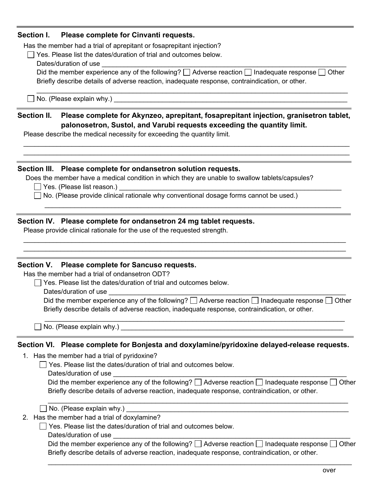#### **Section I. Please complete for Cinvanti requests.**

Has the member had a trial of aprepitant or fosaprepitant injection?

 $\Box$  Yes. Please list the dates/duration of trial and outcomes below.

Dates/duration of use

Did the member experience any of the following?  $\Box$  Adverse reaction  $\Box$  Inadequate response  $\Box$  Other Briefly describe details of adverse reaction, inadequate response, contraindication, or other.

 $\_$  ,  $\_$  ,  $\_$  ,  $\_$  ,  $\_$  ,  $\_$  ,  $\_$  ,  $\_$  ,  $\_$  ,  $\_$  ,  $\_$  ,  $\_$  ,  $\_$  ,  $\_$  ,  $\_$  ,  $\_$  ,  $\_$  ,  $\_$  ,  $\_$  ,  $\_$  ,  $\_$  ,  $\_$  ,  $\_$  ,  $\_$  ,  $\_$  ,  $\_$  ,  $\_$  ,  $\_$  ,  $\_$  ,  $\_$  ,  $\_$  ,  $\_$  ,  $\_$  ,  $\_$  ,  $\_$  ,  $\_$  ,  $\_$  ,

 $\Box$  No. (Please explain why.)

# **Section II. Please complete for Akynzeo, aprepitant, fosaprepitant injection, granisetron tablet, palonosetron, Sustol, and Varubi requests exceeding the quantity limit.**

\_\_\_\_\_\_\_\_\_\_\_\_\_\_\_\_\_\_\_\_\_\_\_\_\_\_\_\_\_\_\_\_\_\_\_\_\_\_\_\_\_\_\_\_\_\_\_\_\_\_\_\_\_\_\_\_\_\_\_\_\_\_\_\_\_\_\_\_\_\_\_\_\_\_\_\_\_\_\_\_\_\_\_\_\_\_\_\_  $\_$  , and the set of the set of the set of the set of the set of the set of the set of the set of the set of the set of the set of the set of the set of the set of the set of the set of the set of the set of the set of th

\_\_\_\_\_\_\_\_\_\_\_\_\_\_\_\_\_\_\_\_\_\_\_\_\_\_\_\_\_\_\_\_\_\_\_\_\_\_\_\_\_\_\_\_\_\_\_\_\_\_\_\_\_\_\_\_\_\_\_\_\_\_\_\_\_\_\_\_\_\_\_\_\_\_\_\_\_\_\_\_

 $\_$  , and the set of the set of the set of the set of the set of the set of the set of the set of the set of the set of the set of the set of the set of the set of the set of the set of the set of the set of the set of th  $\_$  , and the set of the set of the set of the set of the set of the set of the set of the set of the set of the set of the set of the set of the set of the set of the set of the set of the set of the set of the set of th

Please describe the medical necessity for exceeding the quantity limit.

#### **Section III. Please complete for ondansetron solution requests.**

Does the member have a medical condition in which they are unable to swallow tablets/capsules?

 $\Box$  Yes. (Please list reason.)

□ No. (Please provide clinical rationale why conventional dosage forms cannot be used.)

## **Section IV. Please complete for ondansetron 24 mg tablet requests.**

Please provide clinical rationale for the use of the requested strength.

#### **Section V. Please complete for Sancuso requests.**

Has the member had a trial of ondansetron ODT?

 $\Box$  Yes. Please list the dates/duration of trial and outcomes below.

Dates/duration of use

Did the member experience any of the following?  $\Box$  Adverse reaction  $\Box$  Inadequate response  $\Box$  Other Briefly describe details of adverse reaction, inadequate response, contraindication, or other.

\_\_\_\_\_\_\_\_\_\_\_\_\_\_\_\_\_\_\_\_\_\_\_\_\_\_\_\_\_\_\_\_\_\_\_\_\_\_\_\_\_\_\_\_\_\_\_\_\_\_\_\_\_\_\_\_\_\_\_\_\_\_\_\_\_\_\_\_\_\_\_\_\_\_\_\_\_\_\_\_\_

 $\Box$  No. (Please explain why.)  $\Box$ 

## **Section VI. Please complete for Bonjesta and doxylamine/pyridoxine delayed-release requests.**

1. Has the member had a trial of pyridoxine?

 $\Box$  Yes. Please list the dates/duration of trial and outcomes below.

Dates/duration of use example and the set of the set of the set of the set of the set of the set of the set of the set of the set of the set of the set of the set of the set of the set of the set of the set of the set of t

| Did the member experience any of the following? $\square$ Adverse reaction $\square$ Inadequate response $\square$ Other |
|--------------------------------------------------------------------------------------------------------------------------|
| Briefly describe details of adverse reaction, inadequate response, contraindication, or other.                           |

 $\_$  , and the set of the set of the set of the set of the set of the set of the set of the set of the set of the set of the set of the set of the set of the set of the set of the set of the set of the set of the set of th

| $\Box$ No. (Please explain why.) |  |
|----------------------------------|--|
|----------------------------------|--|

2. Has the member had a trial of doxylamine?

Yes. Please list the dates/duration of trial and outcomes below.

Dates/duration of use example of the state of the state of the state of the state of the state of the state of the state of the state of the state of the state of the state of the state of the state of the state of the sta

| Did the member experience any of the following? $\square$ Adverse reaction $\square$ Inadequate response $\square$ Other |
|--------------------------------------------------------------------------------------------------------------------------|
| Briefly describe details of adverse reaction, inadequate response, contraindication, or other.                           |

 $\_$  ,  $\_$  ,  $\_$  ,  $\_$  ,  $\_$  ,  $\_$  ,  $\_$  ,  $\_$  ,  $\_$  ,  $\_$  ,  $\_$  ,  $\_$  ,  $\_$  ,  $\_$  ,  $\_$  ,  $\_$  ,  $\_$  ,  $\_$  ,  $\_$  ,  $\_$  ,  $\_$  ,  $\_$  ,  $\_$  ,  $\_$  ,  $\_$  ,  $\_$  ,  $\_$  ,  $\_$  ,  $\_$  ,  $\_$  ,  $\_$  ,  $\_$  ,  $\_$  ,  $\_$  ,  $\_$  ,  $\_$  ,  $\_$  ,